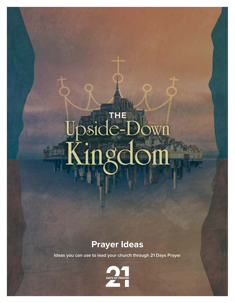# $\overline{\delta}$

# **Prayer Ideas**

**Ideas you can use to lead your church through 21 Days Prayer**

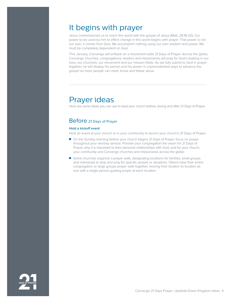## It begins with prayer

Jesus commissioned us to reach the world with the gospel of Jesus (Matt. 28:18-20). Our power to be used by him to effect change in this world begins with prayer. That power is not our own, it comes from God. We accomplish nothing using our own wisdom and power. We must be completely dependent on God.

This January, Converge will embark on a movement-wide 21 Days of Prayer. Across the globe, Converge churches, congregations, leaders and missionaries will pray for God's leading in our lives, our churches, our movement and our mission fields. As we fully submit to God in prayer together, he will display his person and his power in unprecedented ways to advance the gospel so more people can meet, know and follow Jesus.

# Prayer ideas

Here are some ideas you can use to lead your church before, during and after 21 Days of Prayer.

## Before 21 Days of Prayer

#### **Hold a kickoff event**

Host an event at your church or in your community to launch your church's 21 Days of Prayer.

- On the Sunday morning before your church begins 21 Days of Prayer, focus on prayer throughout your worship service. Provide your congregation the vision for 21 Days of Prayer, why it is important to their personal relationships with God, and for your church, your community and Converge churches and missionaries across the globe.
- Some churches organize a prayer walk, designating locations for families, small groups and individuals to stop and pray for specific people or situations. Others have their entire congregation or large groups prayer walk together, moving from location to location as one with a single person guiding prayer at each location.

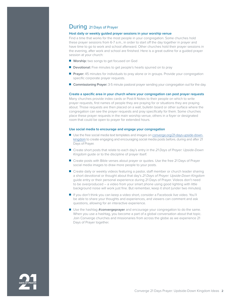### During 21 Days of Prayer

#### **Host daily or weekly guided prayer sessions in your worship venue**

Find a time that works for the most people in your congregation. Some churches hold these prayer sessions from 6-7 a.m., in order to start off the day together in prayer and have time to go to work and school afterward. Other churches hold their prayer sessions in the evening, after work and school are finished. Here is a great outline for a guided prayer session at your church:

- **Worship:** two songs to get focused on God
- **Devotional:** Five minutes to get people's hearts spurred on to pray
- **Prayer:** 45 minutes for individuals to pray alone or in groups. Provide your congregation specific corporate prayer requests.
- **Commissioning Prayer:** 3-5 minute pastoral prayer sending your congregation out for the day.

#### **Create a specific area in your church where your congregation can post prayer requests**

Many churches provide index cards or Post-It Notes to their people on which to write prayer requests, first names of people they are praying for or situations they are praying about. Those requests are then placed on a wall, bulletin board or other surface where the congregation can see the prayer requests and pray specifically for them. Some churches place these prayer requests in the main worship venue, others in a foyer or designated room that could be open to prayer for extended hours.

#### **Use social media to encourage and engage your congregation**

- Use the free social media text templates and images on [converge.org/21-days-u](https://converge.org/21-days-upside-down-kingdom)pside-downkingdom to create engaging and encouraging social media posts before, during and after 21 Days of Prayer.
- Create short posts that relate to each day's entry in the 21 Days of Prayer: Upside-Down *Kingdom* guide or to the discipline of prayer itself.
- Create posts with Bible verses about prayer or quotes. Use the free 21 Days of Prayer social media images to draw more people to your posts.
- Create daily or weekly videos featuring a pastor, staff member or church leader sharing a short devotional or thought about that day's *21 Days of Prayer: Upside-Down Kingdom* guide entry or their personal experience during 21 Days of Prayer. Videos don't need to be overproduced – a video from your smart phone using good lighting with little background noise will work just fine. But remember, keep it short (under two minutes).
- If you don't think you can keep a video short, consider a Facebook live video. You'll be able to share your thoughts and experiences, and viewers can comment and ask questions, allowing for an interactive experience.
- Use the hashtag **#convergeprayer** and encourage your congregation to do the same. When you use a hashtag, you become a part of a global conversation about that topic. Join Converge churches and missionaries from across the globe as we experience 21 Days of Prayer together.